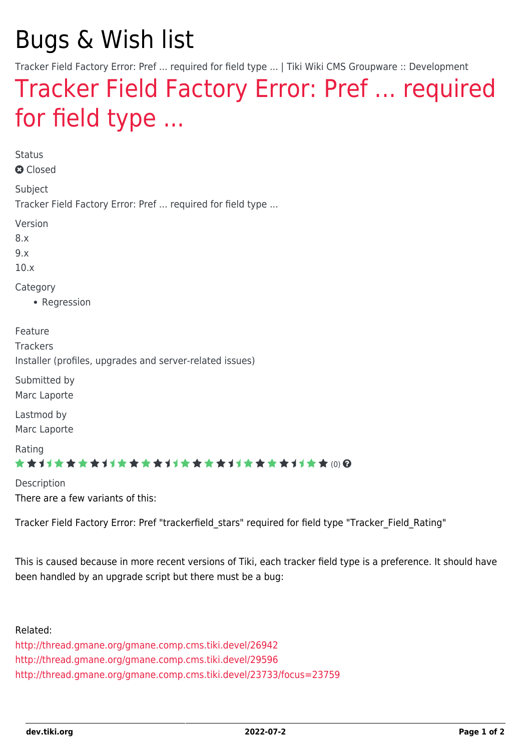# Bugs & Wish list

Tracker Field Factory Error: Pref ... required for field type ... | Tiki Wiki CMS Groupware :: Development

## [Tracker Field Factory Error: Pref ... required](https://dev.tiki.org/item4384-Tracker-Field-Factory-Error-Pref-required-for-field-type) [for field type ...](https://dev.tiki.org/item4384-Tracker-Field-Factory-Error-Pref-required-for-field-type)

Status

**a** Closed

Subject Tracker Field Factory Error: Pref ... required for field type ...

Version

8.x

9.x

10.x

Category

• Regression

Feature **Trackers** Installer (profiles, upgrades and server-related issues) Submitted by Marc Laporte Lastmod by Marc Laporte

Rating

#### \*\*\*\*\*\*\*\*\*\*\*\*\*\*\*\*\*\*\*\*\*\*\*\*\*\*\*\*\*\*

Description There are a few variants of this:

Tracker Field Factory Error: Pref "trackerfield\_stars" required for field type "Tracker\_Field\_Rating"

This is caused because in more recent versions of Tiki, each tracker field type is a preference. It should have been handled by an upgrade script but there must be a bug:

#### Related:

<http://thread.gmane.org/gmane.comp.cms.tiki.devel/26942> <http://thread.gmane.org/gmane.comp.cms.tiki.devel/29596> <http://thread.gmane.org/gmane.comp.cms.tiki.devel/23733/focus=23759>